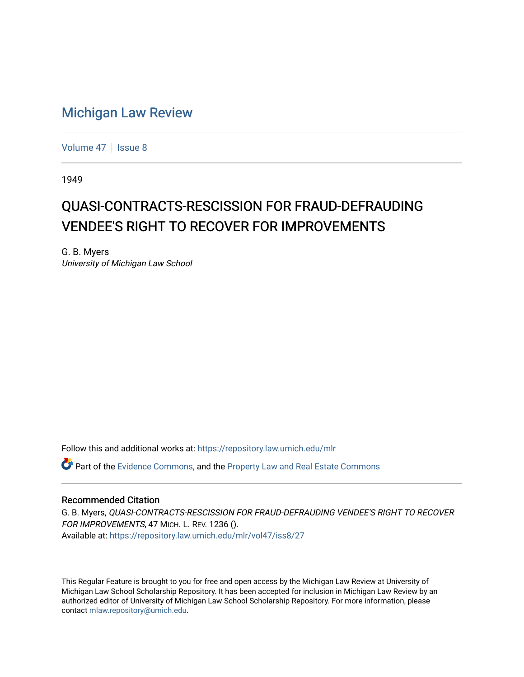## [Michigan Law Review](https://repository.law.umich.edu/mlr)

[Volume 47](https://repository.law.umich.edu/mlr/vol47) | [Issue 8](https://repository.law.umich.edu/mlr/vol47/iss8)

1949

## QUASI-CONTRACTS-RESCISSION FOR FRAUD-DEFRAUDING VENDEE'S RIGHT TO RECOVER FOR IMPROVEMENTS

G. B. Myers University of Michigan Law School

Follow this and additional works at: [https://repository.law.umich.edu/mlr](https://repository.law.umich.edu/mlr?utm_source=repository.law.umich.edu%2Fmlr%2Fvol47%2Fiss8%2F27&utm_medium=PDF&utm_campaign=PDFCoverPages) 

Part of the [Evidence Commons,](http://network.bepress.com/hgg/discipline/601?utm_source=repository.law.umich.edu%2Fmlr%2Fvol47%2Fiss8%2F27&utm_medium=PDF&utm_campaign=PDFCoverPages) and the [Property Law and Real Estate Commons](http://network.bepress.com/hgg/discipline/897?utm_source=repository.law.umich.edu%2Fmlr%2Fvol47%2Fiss8%2F27&utm_medium=PDF&utm_campaign=PDFCoverPages)

## Recommended Citation

G. B. Myers, QUASI-CONTRACTS-RESCISSION FOR FRAUD-DEFRAUDING VENDEE'S RIGHT TO RECOVER FOR IMPROVEMENTS, 47 MICH. L. REV. 1236 (). Available at: [https://repository.law.umich.edu/mlr/vol47/iss8/27](https://repository.law.umich.edu/mlr/vol47/iss8/27?utm_source=repository.law.umich.edu%2Fmlr%2Fvol47%2Fiss8%2F27&utm_medium=PDF&utm_campaign=PDFCoverPages) 

This Regular Feature is brought to you for free and open access by the Michigan Law Review at University of Michigan Law School Scholarship Repository. It has been accepted for inclusion in Michigan Law Review by an authorized editor of University of Michigan Law School Scholarship Repository. For more information, please contact [mlaw.repository@umich.edu](mailto:mlaw.repository@umich.edu).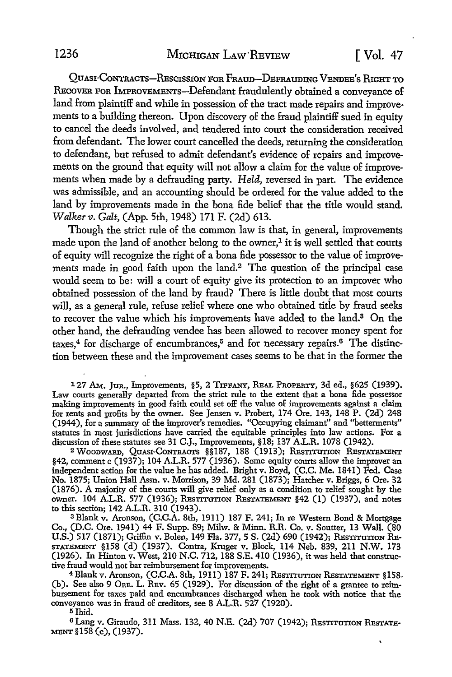QuAsr-CoNTRACTs-REscrssroN FOR FRAun-DEFRAUDING VENDEE's RIGHT To REcoVER FOR IMPROVEMENTS-Defendant fraudulently obtained a conveyance of land from plaintiff and while in possession of the tract made repairs and improvements to a building thereon. Upon discovery of the fraud plaintiff sued in equity to cancel the deeds involved, and tendered into court the consideration received from defendant. The lower court cancelled the deeds, returning the consideration to defendant, but refused to admit defendant's evidence of repairs and improvements on the ground that equity will not allow a claim for the value of improvements when made by a defrauding party. *Held,* reversed in part. The evidence was admissible, and an accounting should be ordered for the value added to the land by improvements made in the bona fide belief that the title would stand. *Walkerv. Galt,* (App. 5th, 1948) 171 F. (2d) 613.

Though the strict rule of the common law is that, in general, improvements made upon the land of another belong to the owner, $<sup>1</sup>$  it is well settled that courts</sup> of equity will recognize the right of a bona fide possessor to the value of improvements made in good faith upon the land.<sup>2</sup> The question of the principal case would seem to be: will a court of equity give its protection to an improver who obtained possession of the land by fraud? There is little doubt that most courts will, as a general rule, refuse relief where one who obtained title by fraud seeks to recover the value which his improvements have added to the land.<sup>3</sup> On the other hand, the defrauding vendee has been allowed to recover money spent for taxes,<sup>4</sup> for discharge of encumbrances,<sup>5</sup> and for necessary repairs.<sup>6</sup> The distinction between these and the improvement cases seems to be that in the former the

127 AM. Jun., Improvements, §5, 2 TIFFANY, REAL PROPERTY, 3d ed., §625 (1939). Law courts generally departed from the strict rule to the extent that a bona fide possessor making improvements in good faith could set off the value of improvements against a claim for rents and profits by the owner. See Jensen v. Probert, 174 Ore. 143, 148 P. (2d) 248 (1944), for a summary of the improver's remedies. "Occupying claimant" and ''betterments" statutes in most jurisdictions have carried the equitable principles into law actions. For a discussion of these statutes see 31 C.J., Improvements, §18; 137 A.L.R. 1078 (1942).

<sup>2</sup> Woodward, Quasi-Contracts §§187, 188 (1913); Restitution Restatement §42, comment c (1937); 104 A.L.R. 577 (1936). Some equity courts allow the improver an independent action for the value he has added. Bright v. Boyd, (C.C. Me. 1841) Fed. Case No. 1875; Union Hall Assn. v. Morrison, 39 Md. 281 (1873); Hatcher v. Briggs, 6 Ore. 32 (1876). A majority of the courts will give relief only as a condition to relief sought by the owner. 104 A.L.R. 577 (1936); RESTITUTION RESTATEMENT §42 (1) (1937), and notes to this section; 142 A.L.R. 310 (1943).

<sup>3</sup>Blank v. Aronson, (C.C.A. 8th, 1911) 187 F. 241; In re Western Bond & Mortgage Co., (D.C. Ore. 1941) 44 F. Supp. 89; Milw. & Minn. R.R. Co. v. Soutter, 13 Wall. (80 U.S.) 517 (1871); Griffin v. Bolen, 149 Fla. 377, 5 S. (2d) 690 (1942); RESTITUTION RE-STATEMENT §158 (d) (1937). Contra, Kruger v. Block, 114 Neb. 839, 211 N.W. 173 (1926). In Hinton v. West, 210 N.C. 712, 188 S.E. 410 (1936), it was held that constructive fraud would not bar reimbursement for improvements.

<sup>4</sup>Blank v. Aronson, (C.C.A. 8th, 1911) 187 F. 241; RESTITUTION RESTATEMENT §158, (b). See also 9 ORE. L. REV. 65 (1929). For discussion of the right of a grantee to reimbursement for taxes paid and encumbrances discharged when he took with notice that the conveyance was in fraud of creditors, see 8 A.L.R. 527 (1920).

<sup>5</sup>Ibid.

6 Lang v. Giraudo, 311 Mass. 132, 40 N.E. (2d) 707 (1942); RESTITUTION RESTATE-MENT §158 (c), (1937).